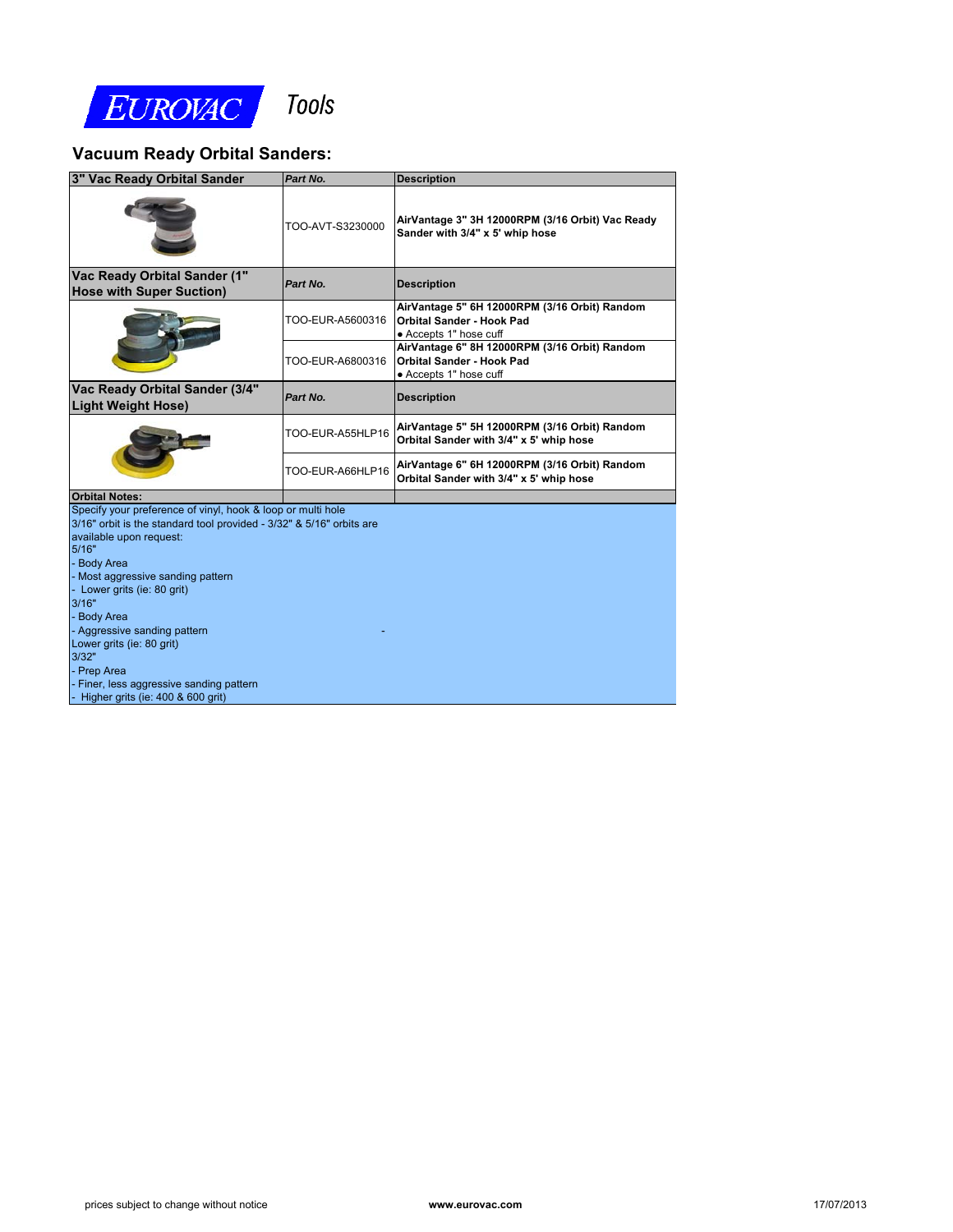

## **Vacuum Ready Orbital Sanders:**

| Vac Ready Orbital Sander                                                                                                                                                                                                                                                                                                                                                                                                                                 | Part No.         | <b>Description</b>                                                                                          |
|----------------------------------------------------------------------------------------------------------------------------------------------------------------------------------------------------------------------------------------------------------------------------------------------------------------------------------------------------------------------------------------------------------------------------------------------------------|------------------|-------------------------------------------------------------------------------------------------------------|
|                                                                                                                                                                                                                                                                                                                                                                                                                                                          | TOO-AVT-S3230000 | AirVantage 3" 3H 12000RPM (3/16 Orbit) Vac Ready<br>Sander with 3/4" x 5' whip hose                         |
| Vac Ready Orbital Sander (1"<br><b>Hose with Super Suction)</b>                                                                                                                                                                                                                                                                                                                                                                                          | Part No.         | <b>Description</b>                                                                                          |
|                                                                                                                                                                                                                                                                                                                                                                                                                                                          | TOO-EUR-A5600316 | AirVantage 5" 6H 12000RPM (3/16 Orbit) Random<br>Orbital Sander - Hook Pad<br>• Accepts 1" hose cuff        |
|                                                                                                                                                                                                                                                                                                                                                                                                                                                          | TOO-EUR-A6800316 | AirVantage 6" 8H 12000RPM (3/16 Orbit) Random<br><b>Orbital Sander - Hook Pad</b><br>• Accepts 1" hose cuff |
| Vac Ready Orbital Sander (3/4"<br><b>Light Weight Hose)</b>                                                                                                                                                                                                                                                                                                                                                                                              | Part No.         | <b>Description</b>                                                                                          |
|                                                                                                                                                                                                                                                                                                                                                                                                                                                          | TOO-EUR-A55HLP16 | AirVantage 5" 5H 12000RPM (3/16 Orbit) Random<br>Orbital Sander with 3/4" x 5' whip hose                    |
|                                                                                                                                                                                                                                                                                                                                                                                                                                                          | TOO-EUR-A66HLP16 | AirVantage 6" 6H 12000RPM (3/16 Orbit) Random<br>Orbital Sander with 3/4" x 5' whip hose                    |
| <b>Orbital Notes:</b>                                                                                                                                                                                                                                                                                                                                                                                                                                    |                  |                                                                                                             |
| Specify your preference of vinyl, hook & loop or multi hole<br>3/16" orbit is the standard tool provided - 3/32" & 5/16" orbits are<br>available upon request:<br>5/16"<br><b>Body Area</b><br>Most aggressive sanding pattern<br>Lower grits (ie: 80 grit)<br>3/16"<br><b>Body Area</b><br>Aggressive sanding pattern<br>Lower grits (ie: 80 grit)<br>3/32"<br>Prep Area<br>Finer, less aggressive sanding pattern<br>Higher grits (ie: 400 & 600 grit) |                  |                                                                                                             |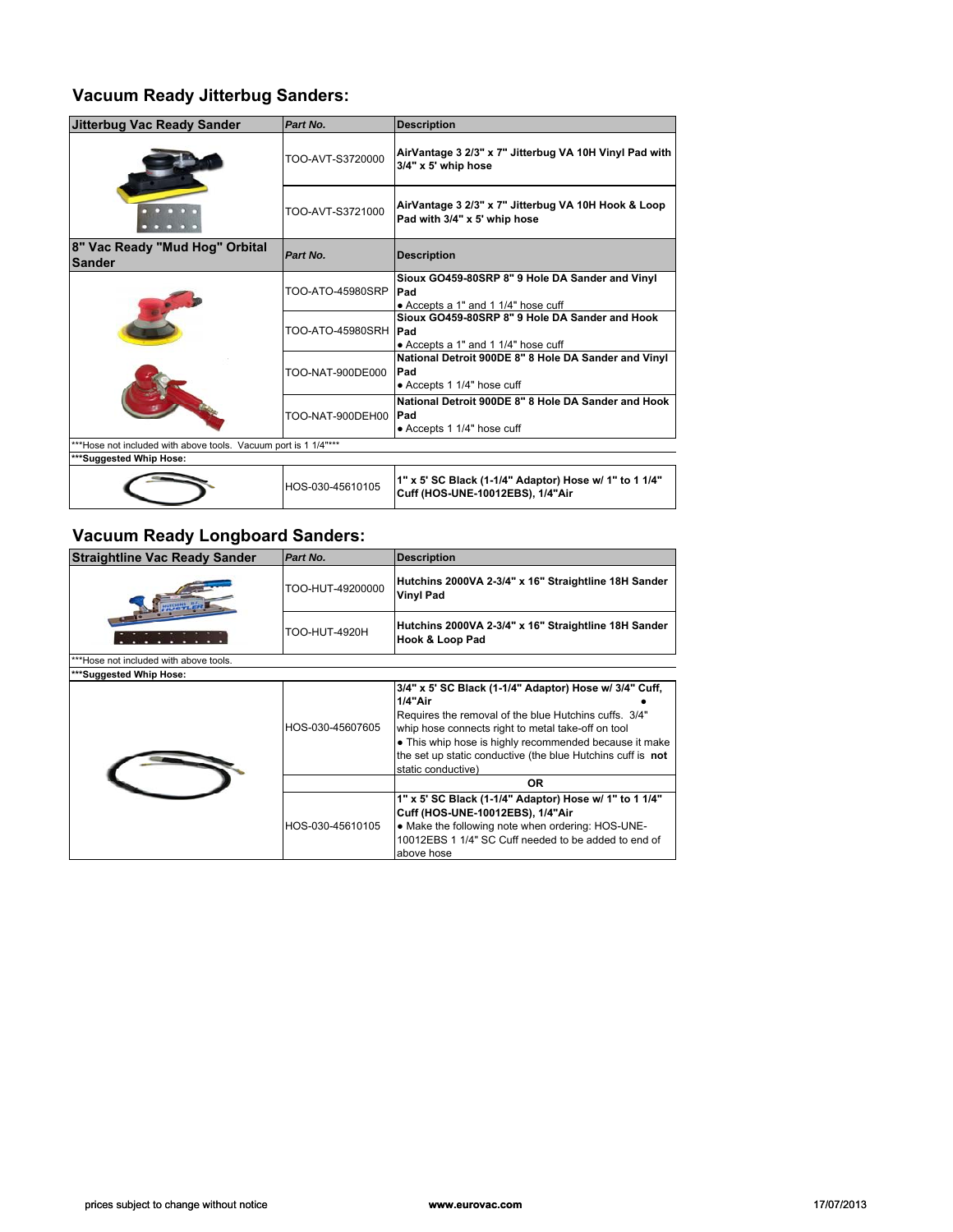#### **Vacuum Ready Jitterbug Sanders:**

| <b>Jitterbug Vac Ready Sander</b>                             | Part No.         | <b>Description</b>                                                                            |
|---------------------------------------------------------------|------------------|-----------------------------------------------------------------------------------------------|
|                                                               | TOO-AVT-S3720000 | AirVantage 3 2/3" x 7" Jitterbug VA 10H Vinyl Pad with<br>3/4" x 5' whip hose                 |
|                                                               | TOO-AVT-S3721000 | AirVantage 3 2/3" x 7" Jitterbug VA 10H Hook & Loop<br>Pad with 3/4" x 5' whip hose           |
| 8" Vac Ready "Mud Hog" Orbital<br><b>Sander</b>               | Part No.         | <b>Description</b>                                                                            |
|                                                               | TOO-ATO-45980SRP | Sioux GO459-80SRP 8" 9 Hole DA Sander and Vinyl<br>Pad<br>• Accepts a 1" and 1 1/4" hose cuff |
|                                                               | TOO-ATO-45980SRH | Sioux GO459-80SRP 8" 9 Hole DA Sander and Hook<br>Pad<br>• Accepts a 1" and 1 1/4" hose cuff  |
|                                                               | TOO-NAT-900DE000 | National Detroit 900DE 8" 8 Hole DA Sander and Vinyl<br>Pad<br>• Accepts 1 1/4" hose cuff     |
|                                                               | TOO-NAT-900DEH00 | National Detroit 900DE 8" 8 Hole DA Sander and Hook<br>Pad<br>• Accepts 1 1/4" hose cuff      |
| *Hose not included with above tools. Vacuum port is 1 1/4"*** |                  |                                                                                               |
| ***Suggested Whip Hose:                                       |                  |                                                                                               |
|                                                               | HOS-030-45610105 | 1" x 5' SC Black (1-1/4" Adaptor) Hose w/ 1" to 1 1/4"<br>Cuff (HOS-UNE-10012EBS), 1/4"Air    |

## **Vacuum Ready Longboard Sanders:**

| <b>Straightline Vac Ready Sander</b>   | Part No.         | <b>Description</b>                                                                                                                                                                                                                                                                                                              |
|----------------------------------------|------------------|---------------------------------------------------------------------------------------------------------------------------------------------------------------------------------------------------------------------------------------------------------------------------------------------------------------------------------|
|                                        | TOO-HUT-49200000 | Hutchins 2000VA 2-3/4" x 16" Straightline 18H Sander<br><b>Vinyl Pad</b>                                                                                                                                                                                                                                                        |
|                                        | TOO-HUT-4920H    | Hutchins 2000VA 2-3/4" x 16" Straightline 18H Sander<br><b>Hook &amp; Loop Pad</b>                                                                                                                                                                                                                                              |
| ***Hose not included with above tools. |                  |                                                                                                                                                                                                                                                                                                                                 |
| ***Suggested Whip Hose:                |                  |                                                                                                                                                                                                                                                                                                                                 |
|                                        | HOS-030-45607605 | 3/4" x 5' SC Black (1-1/4" Adaptor) Hose w/ 3/4" Cuff,<br>1/4"Air<br>Requires the removal of the blue Hutchins cuffs. 3/4"<br>whip hose connects right to metal take-off on tool<br>• This whip hose is highly recommended because it make<br>the set up static conductive (the blue Hutchins cuff is not<br>static conductive) |
|                                        |                  | OR.                                                                                                                                                                                                                                                                                                                             |
|                                        | HOS-030-45610105 | 1" x 5' SC Black (1-1/4" Adaptor) Hose w/ 1" to 1 1/4"<br>Cuff (HOS-UNE-10012EBS), 1/4"Air<br>• Make the following note when ordering: HOS-UNE-<br>10012EBS 1 1/4" SC Cuff needed to be added to end of<br>above hose                                                                                                           |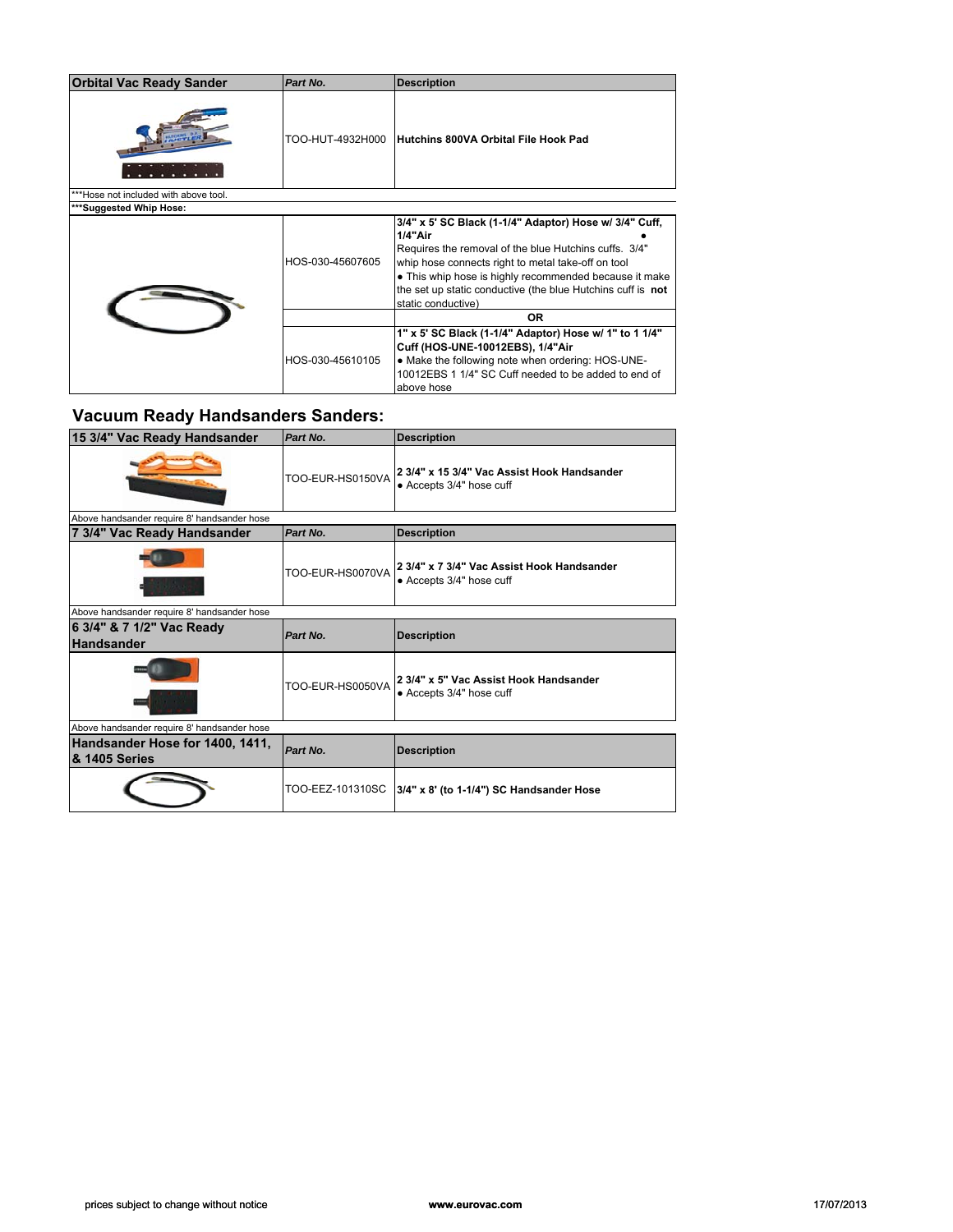| <b>Orbital Vac Ready Sander</b>      | Part No.         | <b>Description</b>                                                                                                                                                                                                                                                                                                              |
|--------------------------------------|------------------|---------------------------------------------------------------------------------------------------------------------------------------------------------------------------------------------------------------------------------------------------------------------------------------------------------------------------------|
|                                      | TOO-HUT-4932H000 | Hutchins 800VA Orbital File Hook Pad                                                                                                                                                                                                                                                                                            |
| **Hose not included with above tool. |                  |                                                                                                                                                                                                                                                                                                                                 |
| ***Suggested Whip Hose:              |                  |                                                                                                                                                                                                                                                                                                                                 |
|                                      | HOS-030-45607605 | 3/4" x 5' SC Black (1-1/4" Adaptor) Hose w/ 3/4" Cuff.<br>1/4"Air<br>Requires the removal of the blue Hutchins cuffs. 3/4"<br>whip hose connects right to metal take-off on tool<br>• This whip hose is highly recommended because it make<br>the set up static conductive (the blue Hutchins cuff is not<br>static conductive) |
|                                      |                  | OR.                                                                                                                                                                                                                                                                                                                             |
|                                      | HOS-030-45610105 | 1" x 5' SC Black (1-1/4" Adaptor) Hose w/ 1" to 1 1/4"<br>Cuff (HOS-UNE-10012EBS), 1/4"Air<br>• Make the following note when ordering: HOS-UNE-<br>10012EBS 1 1/4" SC Cuff needed to be added to end of<br>above hose                                                                                                           |

# **Vacuum Ready Handsanders Sanders:**

| 15 3/4" Vac Ready Handsander                     | Part No.         | <b>Description</b>                                                      |
|--------------------------------------------------|------------------|-------------------------------------------------------------------------|
|                                                  | TOO-EUR-HS0150VA | 2 3/4" x 15 3/4" Vac Assist Hook Handsander<br>• Accepts 3/4" hose cuff |
| Above handsander require 8' handsander hose      |                  |                                                                         |
| 7 3/4" Vac Ready Handsander                      | Part No.         | <b>Description</b>                                                      |
|                                                  | TOO-EUR-HS0070VA | 2 3/4" x 7 3/4" Vac Assist Hook Handsander<br>• Accepts 3/4" hose cuff  |
| Above handsander require 8' handsander hose      |                  |                                                                         |
| 6 3/4" & 7 1/2" Vac Ready<br><b>Handsander</b>   | Part No.         | <b>Description</b>                                                      |
|                                                  | TOO-EUR-HS0050VA | 2 3/4" x 5" Vac Assist Hook Handsander<br>• Accepts 3/4" hose cuff      |
| Above handsander require 8' handsander hose      |                  |                                                                         |
| Handsander Hose for 1400, 1411,<br>& 1405 Series | Part No.         | <b>Description</b>                                                      |
|                                                  |                  |                                                                         |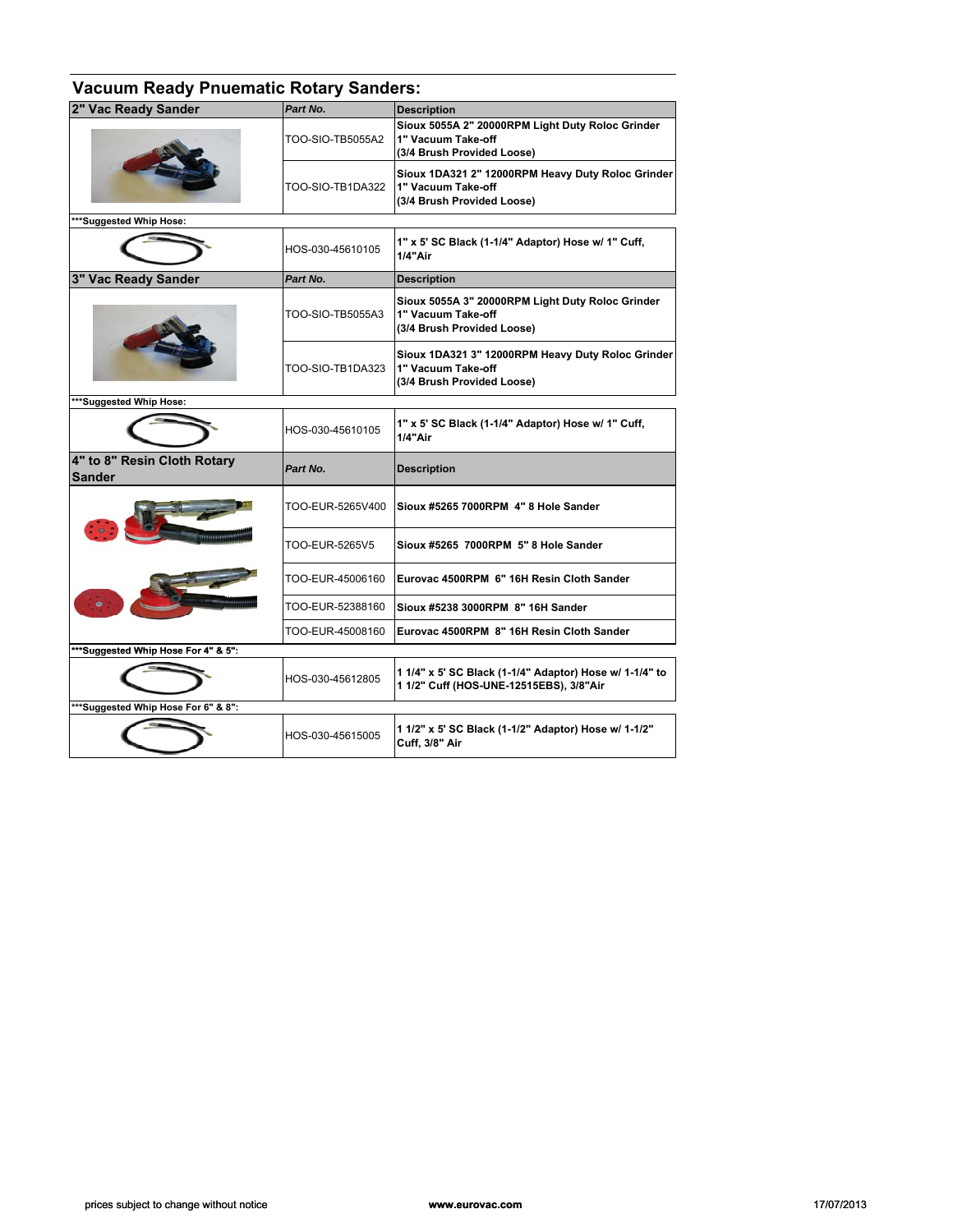| <b>Vacuum Ready Pnuematic Rotary Sanders:</b> |                  |                                                                                                       |
|-----------------------------------------------|------------------|-------------------------------------------------------------------------------------------------------|
| 2" Vac Ready Sander                           | Part No.         | <b>Description</b>                                                                                    |
|                                               | TOO-SIO-TB5055A2 | Sioux 5055A 2" 20000RPM Light Duty Roloc Grinder<br>1" Vacuum Take-off<br>(3/4 Brush Provided Loose)  |
|                                               | TOO-SIO-TB1DA322 | Sioux 1DA321 2" 12000RPM Heavy Duty Roloc Grinder<br>1" Vacuum Take-off<br>(3/4 Brush Provided Loose) |
| ***Suggested Whip Hose:                       |                  |                                                                                                       |
|                                               | HOS-030-45610105 | 1" x 5' SC Black (1-1/4" Adaptor) Hose w/ 1" Cuff,<br>1/4"Air                                         |
| 3" Vac Ready Sander                           | Part No.         | <b>Description</b>                                                                                    |
|                                               | TOO-SIO-TB5055A3 | Sioux 5055A 3" 20000RPM Light Duty Roloc Grinder<br>1" Vacuum Take-off<br>(3/4 Brush Provided Loose)  |
|                                               | TOO-SIO-TB1DA323 | Sioux 1DA321 3" 12000RPM Heavy Duty Roloc Grinder<br>1" Vacuum Take-off<br>(3/4 Brush Provided Loose) |
| ***Suggested Whip Hose:                       |                  |                                                                                                       |
|                                               | HOS-030-45610105 | 1" x 5' SC Black (1-1/4" Adaptor) Hose w/ 1" Cuff,<br>1/4"Air                                         |
| 4" to 8" Resin Cloth Rotary<br>Sander         | Part No.         | <b>Description</b>                                                                                    |
|                                               | TOO-EUR-5265V400 | Sioux #5265 7000RPM 4" 8 Hole Sander                                                                  |
|                                               | TOO-EUR-5265V5   | Sioux #5265 7000RPM 5" 8 Hole Sander                                                                  |
|                                               | TOO-EUR-45006160 | Eurovac 4500RPM 6" 16H Resin Cloth Sander                                                             |
|                                               | TOO-EUR-52388160 | Sioux #5238 3000RPM 8" 16H Sander                                                                     |
|                                               | TOO-EUR-45008160 | Eurovac 4500RPM 8" 16H Resin Cloth Sander                                                             |
| ***Suggested Whip Hose For 4" & 5":           |                  |                                                                                                       |
|                                               | HOS-030-45612805 | 1 1/4" x 5' SC Black (1-1/4" Adaptor) Hose w/ 1-1/4" to<br>1 1/2" Cuff (HOS-UNE-12515EBS), 3/8"Air    |
| ***Suggested Whip Hose For 6" & 8":           |                  |                                                                                                       |
|                                               | HOS-030-45615005 | 1 1/2" x 5' SC Black (1-1/2" Adaptor) Hose w/ 1-1/2"<br><b>Cuff, 3/8" Air</b>                         |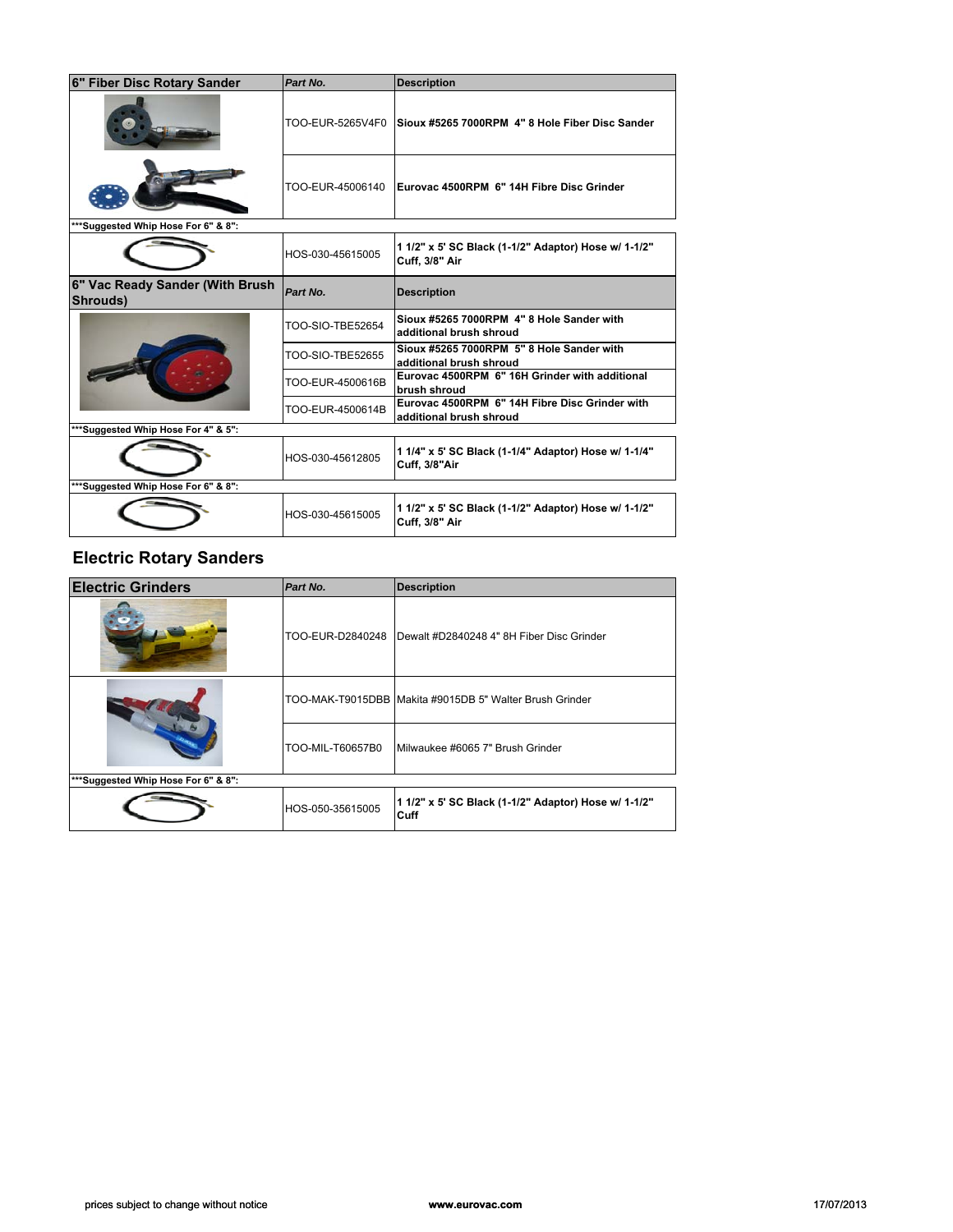| 6" Fiber Disc Rotary Sander                 | Part No.         | <b>Description</b>                                                            |
|---------------------------------------------|------------------|-------------------------------------------------------------------------------|
|                                             | TOO-EUR-5265V4F0 | Sioux #5265 7000RPM 4" 8 Hole Fiber Disc Sander                               |
|                                             | TOO-EUR-45006140 | Eurovac 4500RPM 6" 14H Fibre Disc Grinder                                     |
| ***Suggested Whip Hose For 6" & 8":         |                  |                                                                               |
|                                             | HOS-030-45615005 | 1 1/2" x 5' SC Black (1-1/2" Adaptor) Hose w/ 1-1/2"<br><b>Cuff, 3/8" Air</b> |
| 6" Vac Ready Sander (With Brush<br>Shrouds) | Part No.         | <b>Description</b>                                                            |
|                                             | TOO-SIO-TBE52654 | Sioux #5265 7000RPM 4" 8 Hole Sander with<br>additional brush shroud          |
|                                             | TOO-SIO-TBE52655 | Sioux #5265 7000RPM 5" 8 Hole Sander with<br>additional brush shroud          |
|                                             | TOO-EUR-4500616B | Eurovac 4500RPM 6" 16H Grinder with additional<br>brush shroud                |
|                                             | TOO-EUR-4500614B | Eurovac 4500RPM 6" 14H Fibre Disc Grinder with<br>additional brush shroud     |
| **Suggested Whip Hose For 4" & 5":          |                  |                                                                               |
|                                             | HOS-030-45612805 | 1 1/4" x 5' SC Black (1-1/4" Adaptor) Hose w/ 1-1/4"<br><b>Cuff, 3/8"Air</b>  |
| ***Suggested Whip Hose For 6" & 8":         |                  |                                                                               |
|                                             | HOS-030-45615005 | 1 1/2" x 5' SC Black (1-1/2" Adaptor) Hose w/ 1-1/2"<br><b>Cuff, 3/8" Air</b> |

### **Electric Rotary Sanders**

| <b>Electric Grinders</b>            | Part No.         | <b>Description</b>                                           |
|-------------------------------------|------------------|--------------------------------------------------------------|
|                                     | TOO-EUR-D2840248 | Dewalt #D2840248 4" 8H Fiber Disc Grinder                    |
|                                     |                  | TOO-MAK-T9015DBB Makita #9015DB 5" Walter Brush Grinder      |
|                                     | TOO-MIL-T60657B0 | Milwaukee #6065 7" Brush Grinder                             |
| ***Suggested Whip Hose For 6" & 8": |                  |                                                              |
|                                     | HOS-050-35615005 | 1 1/2" x 5' SC Black (1-1/2" Adaptor) Hose w/ 1-1/2"<br>Cuff |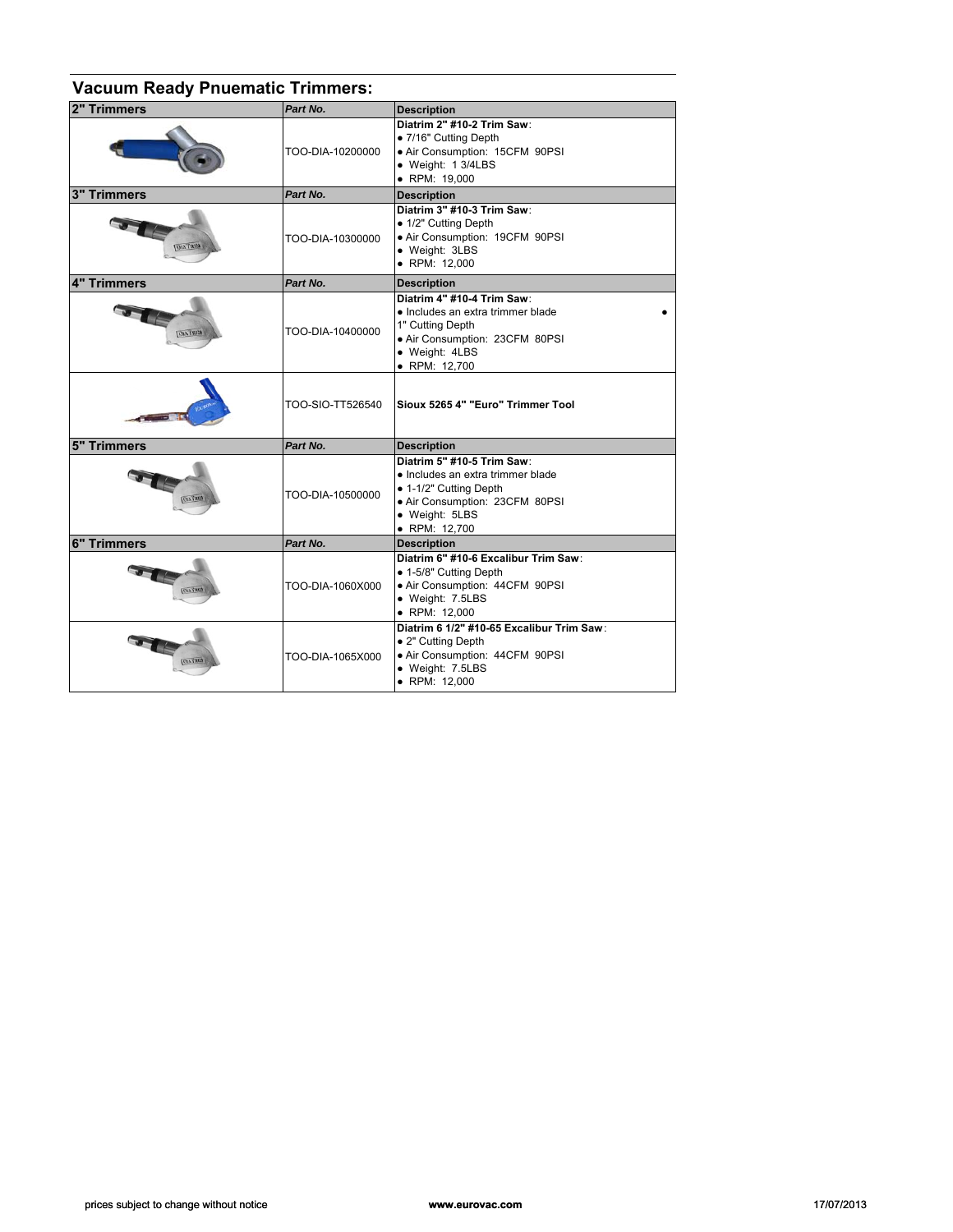| <b>Vacuum Ready Pnuematic Trimmers:</b> |                  |                                                                                                                                                                |
|-----------------------------------------|------------------|----------------------------------------------------------------------------------------------------------------------------------------------------------------|
| 2" Trimmers                             | Part No.         | <b>Description</b>                                                                                                                                             |
|                                         | TOO-DIA-10200000 | Diatrim 2" #10-2 Trim Saw:<br>● 7/16" Cutting Depth<br>· Air Consumption: 15CFM 90PSI<br>• Weight: 1 3/4LBS<br>• RPM: 19.000                                   |
| <b>3" Trimmers</b>                      | Part No.         | <b>Description</b>                                                                                                                                             |
| <b>GIRT AID</b>                         | TOO-DIA-10300000 | Diatrim 3" #10-3 Trim Saw:<br>• 1/2" Cutting Depth<br>· Air Consumption: 19CFM 90PSI<br>• Weight: 3LBS<br>• RPM: 12,000                                        |
| 4" Trimmers                             | Part No.         | <b>Description</b>                                                                                                                                             |
| <b>DIATRIS</b>                          | TOO-DIA-10400000 | Diatrim 4" #10-4 Trim Saw:<br>· Includes an extra trimmer blade<br>1" Cutting Depth<br>· Air Consumption: 23CFM 80PSI<br>· Weight: 4LBS<br>• RPM: 12,700       |
|                                         | TOO-SIO-TT526540 | Sioux 5265 4" "Euro" Trimmer Tool                                                                                                                              |
| <b>5" Trimmers</b>                      | Part No.         | <b>Description</b>                                                                                                                                             |
| платам.                                 | TOO-DIA-10500000 | Diatrim 5" #10-5 Trim Saw:<br>· Includes an extra trimmer blade<br>• 1-1/2" Cutting Depth<br>· Air Consumption: 23CFM 80PSI<br>• Weight: 5LBS<br>• RPM: 12,700 |
| <b>6" Trimmers</b>                      | Part No.         | <b>Description</b>                                                                                                                                             |
|                                         | TOO-DIA-1060X000 | Diatrim 6" #10-6 Excalibur Trim Saw:<br>• 1-5/8" Cutting Depth<br>· Air Consumption: 44CFM 90PSI<br>· Weight: 7.5LBS<br>· RPM: 12,000                          |
| <b>OIA TRIM</b>                         | TOO-DIA-1065X000 | Diatrim 6 1/2" #10-65 Excalibur Trim Saw:<br>• 2" Cutting Depth<br>· Air Consumption: 44CFM 90PSI<br>• Weight: 7.5LBS<br>• RPM: 12,000                         |